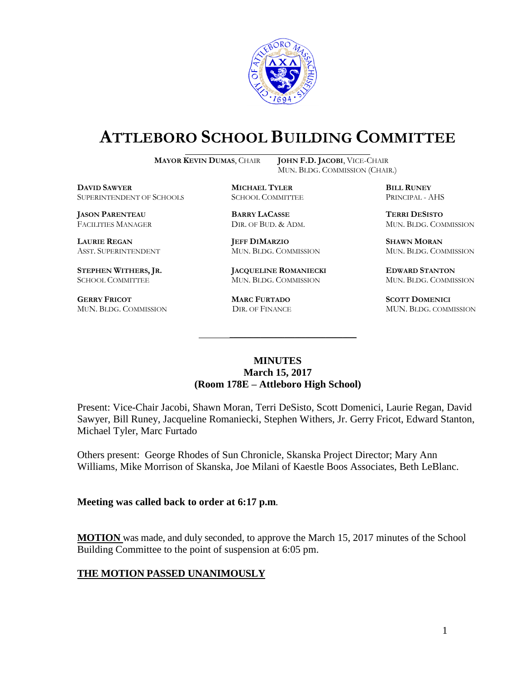

# **ATTLEBORO SCHOOL BUILDING COMMITTEE**

**MAYOR KEVIN DUMAS**, CHAIR **JOHN F.D. JACOBI**, VICE-CHAIR

MUN. BLDG. COMMISSION (CHAIR.)

**DAVID SAWYER MICHAEL TYLER BILL RUNEY** SUPERINTENDENT OF SCHOOLS SCHOOL COMMITTEE PRINCIPAL - AHS

**JASON PARENTEAU BARRY LACASSE TERRI DESISTO**

**GERRY FRICOT MARC FURTADO SCOTT DOMENICI** 

**LAURIE REGAN JEFF DIMARZIO SHAWN MORAN**

**STEPHEN WITHERS, JR. JACQUELINE ROMANIECKI EDWARD STANTON** SCHOOL COMMITTEE MUN. BLDG. COMMISSION MUN. BLDG. COMMISSION

FACILITIES MANAGER DIR. OF BUD. & ADM. MUN. BLDG. COMMISSION

ASST. SUPERINTENDENT MUN. BLDG. COMMISSION MUN. BLDG. COMMISSION

MUN. BLDG. COMMISSION DIR. OF FINANCE MUN. BLDG. COMMISSION

#### **MINUTES March 15, 2017 (Room 178E – Attleboro High School)**

\_\_\_\_\_\_\_\_\_\_\_\_\_\_\_\_\_\_\_\_\_\_\_\_\_\_\_\_\_\_\_\_\_\_\_\_\_

Present: Vice-Chair Jacobi, Shawn Moran, Terri DeSisto, Scott Domenici, Laurie Regan, David Sawyer, Bill Runey, Jacqueline Romaniecki, Stephen Withers, Jr. Gerry Fricot, Edward Stanton, Michael Tyler, Marc Furtado

Others present: George Rhodes of Sun Chronicle, Skanska Project Director; Mary Ann Williams, Mike Morrison of Skanska, Joe Milani of Kaestle Boos Associates, Beth LeBlanc.

#### **Meeting was called back to order at 6:17 p.m**.

**MOTION** was made, and duly seconded, to approve the March 15, 2017 minutes of the School Building Committee to the point of suspension at 6:05 pm.

#### **THE MOTION PASSED UNANIMOUSLY**